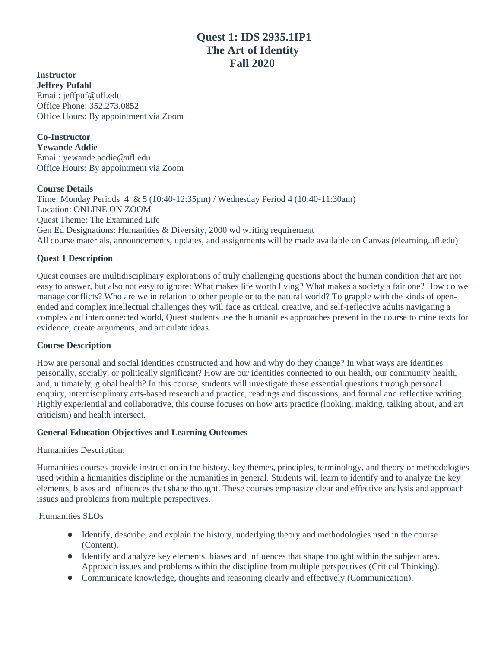# **Quest 1: IDS 2935.1IP1 The Art of Identity Fall 2020**

**Instructor Jeffrey Pufahl** Email: jeffpuf@ufl.edu Office Phone: 352.273.0852 Office Hours: By appointment via Zoom

**Co-Instructor Yewande Addie** Email: yewande.addie@ufl.edu Office Hours: By appointment via Zoom

### **Course Details**

Time: Monday Periods 4 & 5 (10:40-12:35pm) / Wednesday Period 4 (10:40-11:30am) Location: ONLINE ON ZOOM Quest Theme: The Examined Life Gen Ed Designations: Humanities & Diversity, 2000 wd writing requirement All course materials, announcements, updates, and assignments will be made available on Canvas (elearning.ufl.edu)

### **Quest 1 Description**

Quest courses are multidisciplinary explorations of truly challenging questions about the human condition that are not easy to answer, but also not easy to ignore: What makes life worth living? What makes a society a fair one? How do we manage conflicts? Who are we in relation to other people or to the natural world? To grapple with the kinds of openended and complex intellectual challenges they will face as critical, creative, and self-reflective adults navigating a complex and interconnected world, Quest students use the humanities approaches present in the course to mine texts for evidence, create arguments, and articulate ideas.

#### **Course Description**

How are personal and social identities constructed and how and why do they change? In what ways are identities personally, socially, or politically significant? How are our identities connected to our health, our community health, and, ultimately, global health? In this course, students will investigate these essential questions through personal enquiry, interdisciplinary arts-based research and practice, readings and discussions, and formal and reflective writing. Highly experiential and collaborative, this course focuses on how arts practice (looking, making, talking about, and art criticism) and health intersect.

#### **General Education Objectives and Learning Outcomes**

Humanities Description:

Humanities courses provide instruction in the history, key themes, principles, terminology, and theory or methodologies used within a humanities discipline or the humanities in general. Students will learn to identify and to analyze the key elements, biases and influences that shape thought. These courses emphasize clear and effective analysis and approach issues and problems from multiple perspectives.

Humanities SLOs

- Identify, describe, and explain the history, underlying theory and methodologies used in the course (Content).
- Identify and analyze key elements, biases and influences that shape thought within the subject area. Approach issues and problems within the discipline from multiple perspectives (Critical Thinking).
- Communicate knowledge, thoughts and reasoning clearly and effectively (Communication).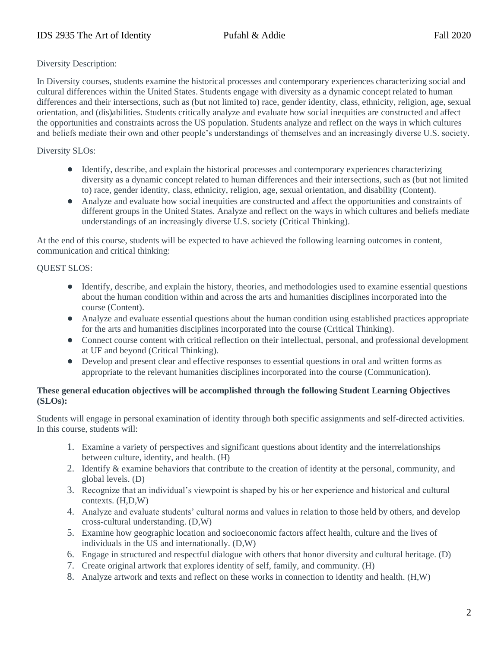### Diversity Description:

In Diversity courses, students examine the historical processes and contemporary experiences characterizing social and cultural differences within the United States. Students engage with diversity as a dynamic concept related to human differences and their intersections, such as (but not limited to) race, gender identity, class, ethnicity, religion, age, sexual orientation, and (dis)abilities. Students critically analyze and evaluate how social inequities are constructed and affect the opportunities and constraints across the US population. Students analyze and reflect on the ways in which cultures and beliefs mediate their own and other people's understandings of themselves and an increasingly diverse U.S. society.

# Diversity SLOs:

- Identify, describe, and explain the historical processes and contemporary experiences characterizing diversity as a dynamic concept related to human differences and their intersections, such as (but not limited to) race, gender identity, class, ethnicity, religion, age, sexual orientation, and disability (Content).
- Analyze and evaluate how social inequities are constructed and affect the opportunities and constraints of different groups in the United States. Analyze and reflect on the ways in which cultures and beliefs mediate understandings of an increasingly diverse U.S. society (Critical Thinking).

At the end of this course, students will be expected to have achieved the following learning outcomes in content, communication and critical thinking:

### QUEST SLOS:

- Identify, describe, and explain the history, theories, and methodologies used to examine essential questions about the human condition within and across the arts and humanities disciplines incorporated into the course (Content).
- Analyze and evaluate essential questions about the human condition using established practices appropriate for the arts and humanities disciplines incorporated into the course (Critical Thinking).
- Connect course content with critical reflection on their intellectual, personal, and professional development at UF and beyond (Critical Thinking).
- Develop and present clear and effective responses to essential questions in oral and written forms as appropriate to the relevant humanities disciplines incorporated into the course (Communication).

### **These general education objectives will be accomplished through the following Student Learning Objectives (SLOs):**

Students will engage in personal examination of identity through both specific assignments and self-directed activities. In this course, students will:

- 1. Examine a variety of perspectives and significant questions about identity and the interrelationships between culture, identity, and health. (H)
- 2. Identify & examine behaviors that contribute to the creation of identity at the personal, community, and global levels. (D)
- 3. Recognize that an individual's viewpoint is shaped by his or her experience and historical and cultural contexts. (H,D,W)
- 4. Analyze and evaluate students' cultural norms and values in relation to those held by others, and develop cross-cultural understanding. (D,W)
- 5. Examine how geographic location and socioeconomic factors affect health, culture and the lives of individuals in the US and internationally. (D,W)
- 6. Engage in structured and respectful dialogue with others that honor diversity and cultural heritage. (D)
- 7. Create original artwork that explores identity of self, family, and community. (H)
- 8. Analyze artwork and texts and reflect on these works in connection to identity and health. (H,W)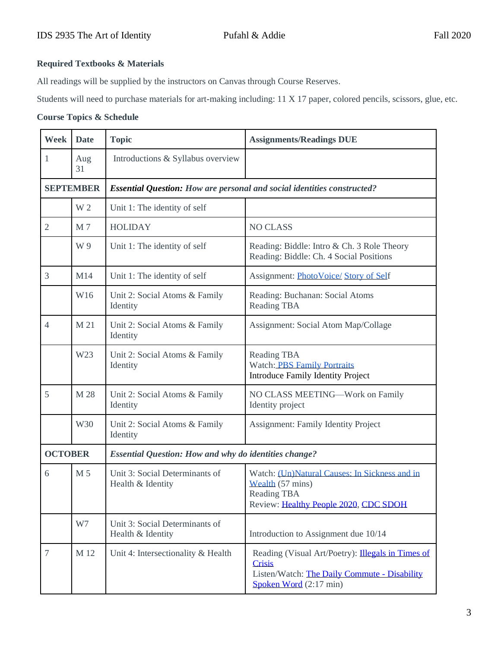# **Required Textbooks & Materials**

All readings will be supplied by the instructors on Canvas through Course Reserves.

Students will need to purchase materials for art-making including: 11 X 17 paper, colored pencils, scissors, glue, etc.

### **Course Topics & Schedule**

| <b>Week</b>      | <b>Date</b> | <b>Topic</b>                                                                   | <b>Assignments/Readings DUE</b>                                                                                                              |  |
|------------------|-------------|--------------------------------------------------------------------------------|----------------------------------------------------------------------------------------------------------------------------------------------|--|
| 1                | Aug<br>31   | Introductions & Syllabus overview                                              |                                                                                                                                              |  |
| <b>SEPTEMBER</b> |             | <b>Essential Question:</b> How are personal and social identities constructed? |                                                                                                                                              |  |
|                  | W 2         | Unit 1: The identity of self                                                   |                                                                                                                                              |  |
| $\mathfrak{2}$   | M7          | <b>HOLIDAY</b>                                                                 | <b>NO CLASS</b>                                                                                                                              |  |
|                  | W 9         | Unit 1: The identity of self                                                   | Reading: Biddle: Intro & Ch. 3 Role Theory<br>Reading: Biddle: Ch. 4 Social Positions                                                        |  |
| 3                | M14         | Unit 1: The identity of self                                                   | Assignment: PhotoVoice/Story of Self                                                                                                         |  |
|                  | W16         | Unit 2: Social Atoms & Family<br>Identity                                      | Reading: Buchanan: Social Atoms<br>Reading TBA                                                                                               |  |
| $\overline{4}$   | M 21        | Unit 2: Social Atoms & Family<br>Identity                                      | Assignment: Social Atom Map/Collage                                                                                                          |  |
|                  | W23         | Unit 2: Social Atoms & Family<br>Identity                                      | Reading TBA<br><b>Watch: PBS Family Portraits</b><br>Introduce Family Identity Project                                                       |  |
| 5                | M 28        | Unit 2: Social Atoms & Family<br>Identity                                      | NO CLASS MEETING-Work on Family<br>Identity project                                                                                          |  |
|                  | W30         | Unit 2: Social Atoms & Family<br>Identity                                      | <b>Assignment: Family Identity Project</b>                                                                                                   |  |
| <b>OCTOBER</b>   |             | <b>Essential Question: How and why do identities change?</b>                   |                                                                                                                                              |  |
| 6                | M 5         | Unit 3: Social Determinants of<br>Health & Identity                            | Watch: (Un)Natural Causes: In Sickness and in<br>Wealth (57 mins)<br>Reading TBA<br>Review: Healthy People 2020, CDC SDOH                    |  |
|                  | W7          | Unit 3: Social Determinants of<br>Health & Identity                            | Introduction to Assignment due 10/14                                                                                                         |  |
| $\overline{7}$   | M 12        | Unit 4: Intersectionality & Health                                             | Reading (Visual Art/Poetry): Illegals in Times of<br><b>Crisis</b><br>Listen/Watch: The Daily Commute - Disability<br>Spoken Word (2:17 min) |  |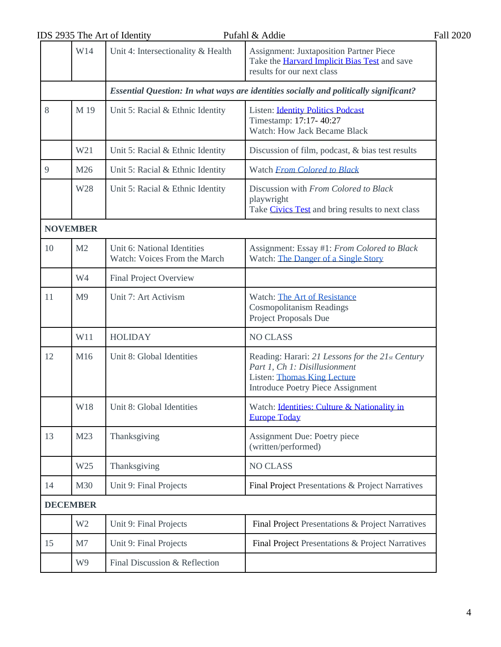|    | IDS 2935 The Art of Identity |                                                                                       | Pufahl & Addie                                                                                                                                                      | <b>Fall 2020</b> |
|----|------------------------------|---------------------------------------------------------------------------------------|---------------------------------------------------------------------------------------------------------------------------------------------------------------------|------------------|
|    | W14                          | Unit 4: Intersectionality & Health                                                    | <b>Assignment: Juxtaposition Partner Piece</b><br>Take the <b>Harvard Implicit Bias Test</b> and save<br>results for our next class                                 |                  |
|    |                              | Essential Question: In what ways are identities socially and politically significant? |                                                                                                                                                                     |                  |
| 8  | M 19                         | Unit 5: Racial & Ethnic Identity                                                      | <b>Listen: Identity Politics Podcast</b><br>Timestamp: 17:17-40:27<br><b>Watch: How Jack Became Black</b>                                                           |                  |
|    | W21                          | Unit 5: Racial & Ethnic Identity                                                      | Discussion of film, podcast, & bias test results                                                                                                                    |                  |
| 9  | M26                          | Unit 5: Racial & Ethnic Identity                                                      | Watch From Colored to Black                                                                                                                                         |                  |
|    | W28                          | Unit 5: Racial & Ethnic Identity                                                      | Discussion with From Colored to Black<br>playwright<br>Take Civics Test and bring results to next class                                                             |                  |
|    | <b>NOVEMBER</b>              |                                                                                       |                                                                                                                                                                     |                  |
| 10 | M <sub>2</sub>               | Unit 6: National Identities<br>Watch: Voices From the March                           | Assignment: Essay #1: From Colored to Black<br>Watch: The Danger of a Single Story                                                                                  |                  |
|    | W4                           | <b>Final Project Overview</b>                                                         |                                                                                                                                                                     |                  |
| 11 | M <sub>9</sub>               | Unit 7: Art Activism                                                                  | Watch: The Art of Resistance<br><b>Cosmopolitanism Readings</b><br>Project Proposals Due                                                                            |                  |
|    | W11                          | <b>HOLIDAY</b>                                                                        | <b>NO CLASS</b>                                                                                                                                                     |                  |
| 12 | M16                          | Unit 8: Global Identities                                                             | Reading: Harari: 21 Lessons for the 21st Century<br>Part 1, Ch 1: Disillusionment<br><b>Listen: Thomas King Lecture</b><br><b>Introduce Poetry Piece Assignment</b> |                  |
|    | W18                          | Unit 8: Global Identities                                                             | Watch: Identities: Culture & Nationality in<br><b>Europe Today</b>                                                                                                  |                  |
| 13 | M23                          | Thanksgiving                                                                          | Assignment Due: Poetry piece<br>(written/performed)                                                                                                                 |                  |
|    | W25                          | Thanksgiving                                                                          | <b>NO CLASS</b>                                                                                                                                                     |                  |
| 14 | M30                          | Unit 9: Final Projects                                                                | Final Project Presentations & Project Narratives                                                                                                                    |                  |
|    | <b>DECEMBER</b>              |                                                                                       |                                                                                                                                                                     |                  |
|    | W <sub>2</sub>               | Unit 9: Final Projects                                                                | Final Project Presentations & Project Narratives                                                                                                                    |                  |
| 15 | M7                           | Unit 9: Final Projects                                                                | Final Project Presentations & Project Narratives                                                                                                                    |                  |
|    | W9                           | Final Discussion & Reflection                                                         |                                                                                                                                                                     |                  |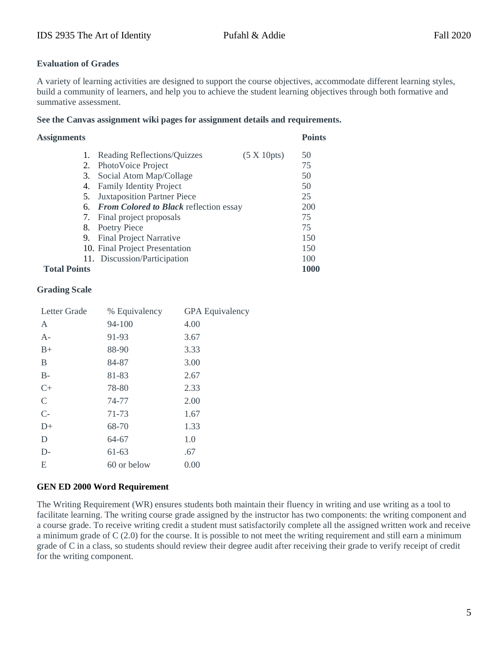### **Evaluation of Grades**

A variety of learning activities are designed to support the course objectives, accommodate different learning styles, build a community of learners, and help you to achieve the student learning objectives through both formative and summative assessment.

#### **See the Canvas assignment wiki pages for assignment details and requirements.**

| <b>Assignments</b>  |                                           |                     |             |
|---------------------|-------------------------------------------|---------------------|-------------|
| 1.                  | Reading Reflections/Quizzes               | $(5 \times 10$ pts) | 50          |
| 2.                  | PhotoVoice Project                        |                     | 75          |
|                     | 3. Social Atom Map/Collage                |                     | 50          |
| 4.                  | <b>Family Identity Project</b>            |                     | 50          |
| 5.                  | <b>Juxtaposition Partner Piece</b>        |                     | 25          |
|                     | 6. From Colored to Black reflection essay |                     | 200         |
| 7.                  | Final project proposals                   |                     | 75          |
| 8.                  | Poetry Piece                              |                     | 75          |
| 9.                  | <b>Final Project Narrative</b>            |                     | 150         |
|                     | 10. Final Project Presentation            |                     | 150         |
|                     | 11. Discussion/Participation              |                     | 100         |
| <b>Total Points</b> |                                           |                     | <b>1000</b> |

# **Grading Scale**

| Letter Grade  | % Equivalency | <b>GPA</b> Equivalency |
|---------------|---------------|------------------------|
| A             | 94-100        | 4.00                   |
| $A-$          | 91-93         | 3.67                   |
| $B+$          | 88-90         | 3.33                   |
| B             | 84-87         | 3.00                   |
| $B-$          | 81-83         | 2.67                   |
| $C+$          | 78-80         | 2.33                   |
| $\mathcal{C}$ | 74-77         | 2.00                   |
| $C-$          | 71-73         | 1.67                   |
| $D+$          | 68-70         | 1.33                   |
| D             | 64-67         | 1.0                    |
| $D-$          | $61 - 63$     | .67                    |
| E             | 60 or below   | 0.00                   |
|               |               |                        |

### **GEN ED 2000 Word Requirement**

The Writing Requirement (WR) ensures students both maintain their fluency in writing and use writing as a tool to facilitate learning. The writing course grade assigned by the instructor has two components: the writing component and a course grade. To receive writing credit a student must satisfactorily complete all the assigned written work and receive a minimum grade of  $C(2.0)$  for the course. It is possible to not meet the writing requirement and still earn a minimum grade of C in a class, so students should review their degree audit after receiving their grade to verify receipt of credit for the writing component.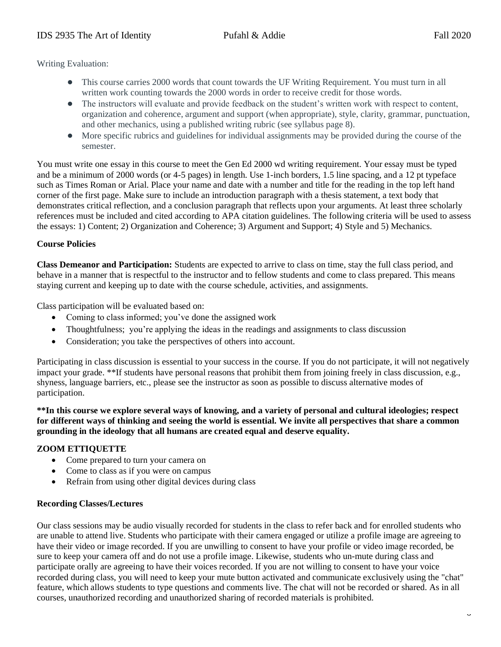Writing Evaluation:

- This course carries 2000 words that count towards the UF Writing Requirement. You must turn in all written work counting towards the 2000 words in order to receive credit for those words.
- The instructors will evaluate and provide feedback on the student's written work with respect to content, organization and coherence, argument and support (when appropriate), style, clarity, grammar, punctuation, and other mechanics, using a published writing rubric (see syllabus page 8).
- More specific rubrics and guidelines for individual assignments may be provided during the course of the semester.

You must write one essay in this course to meet the Gen Ed 2000 wd writing requirement. Your essay must be typed and be a minimum of 2000 words (or 4-5 pages) in length. Use 1-inch borders, 1.5 line spacing, and a 12 pt typeface such as Times Roman or Arial. Place your name and date with a number and title for the reading in the top left hand corner of the first page. Make sure to include an introduction paragraph with a thesis statement, a text body that demonstrates critical reflection, and a conclusion paragraph that reflects upon your arguments. At least three scholarly references must be included and cited according to APA citation guidelines. The following criteria will be used to assess the essays: 1) Content; 2) Organization and Coherence; 3) Argument and Support; 4) Style and 5) Mechanics.

#### **Course Policies**

**Class Demeanor and Participation:** Students are expected to arrive to class on time, stay the full class period, and behave in a manner that is respectful to the instructor and to fellow students and come to class prepared. This means staying current and keeping up to date with the course schedule, activities, and assignments.

Class participation will be evaluated based on:

- Coming to class informed; you've done the assigned work
- Thoughtfulness; you're applying the ideas in the readings and assignments to class discussion
- Consideration; you take the perspectives of others into account.

Participating in class discussion is essential to your success in the course. If you do not participate, it will not negatively impact your grade. \*\*If students have personal reasons that prohibit them from joining freely in class discussion, e.g., shyness, language barriers, etc., please see the instructor as soon as possible to discuss alternative modes of participation.

**\*\*In this course we explore several ways of knowing, and a variety of personal and cultural ideologies; respect for different ways of thinking and seeing the world is essential. We invite all perspectives that share a common grounding in the ideology that all humans are created equal and deserve equality.**

### **ZOOM ETTIQUETTE**

- Come prepared to turn your camera on
- Come to class as if you were on campus
- Refrain from using other digital devices during class

#### **Recording Classes/Lectures**

Our class sessions may be audio visually recorded for students in the class to refer back and for enrolled students who are unable to attend live. Students who participate with their camera engaged or utilize a profile image are agreeing to have their video or image recorded. If you are unwilling to consent to have your profile or video image recorded, be sure to keep your camera off and do not use a profile image. Likewise, students who un-mute during class and participate orally are agreeing to have their voices recorded. If you are not willing to consent to have your voice recorded during class, you will need to keep your mute button activated and communicate exclusively using the "chat" feature, which allows students to type questions and comments live. The chat will not be recorded or shared. As in all courses, unauthorized recording and unauthorized sharing of recorded materials is prohibited.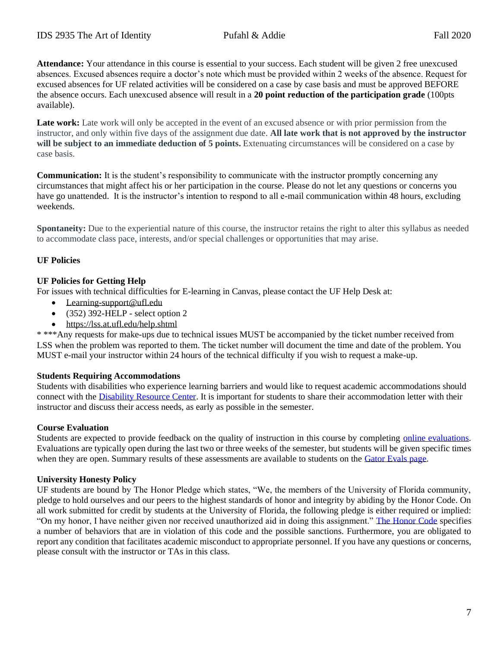**Attendance:** Your attendance in this course is essential to your success. Each student will be given 2 free unexcused absences. Excused absences require a doctor's note which must be provided within 2 weeks of the absence. Request for excused absences for UF related activities will be considered on a case by case basis and must be approved BEFORE the absence occurs. Each unexcused absence will result in a **20 point reduction of the participation grade** (100pts available).

Late work: Late work will only be accepted in the event of an excused absence or with prior permission from the instructor, and only within five days of the assignment due date. **All late work that is not approved by the instructor will be subject to an immediate deduction of 5 points.** Extenuating circumstances will be considered on a case by case basis.

**Communication:** It is the student's responsibility to communicate with the instructor promptly concerning any circumstances that might affect his or her participation in the course. Please do not let any questions or concerns you have go unattended. It is the instructor's intention to respond to all e-mail communication within 48 hours, excluding weekends.

**Spontaneity:** Due to the experiential nature of this course, the instructor retains the right to alter this syllabus as needed to accommodate class pace, interests, and/or special challenges or opportunities that may arise.

# **UF Policies**

### **UF Policies for Getting Help**

For issues with technical difficulties for E-learning in Canvas, please contact the UF Help Desk at:

- [Learning-support@ufl.edu](mailto:Learning-support@ufl.edu)
- $\bullet$  (352) 392-HELP select option 2
- <https://lss.at.ufl.edu/help.shtml>

\* \*\*\*Any requests for make-ups due to technical issues MUST be accompanied by the ticket number received from LSS when the problem was reported to them. The ticket number will document the time and date of the problem. You MUST e-mail your instructor within 24 hours of the technical difficulty if you wish to request a make-up.

#### **Students Requiring Accommodations**

Students with disabilities who experience learning barriers and would like to request academic accommodations should connect with the [Disability Resource Center.](https://disability.ufl.edu/students/get-started/) It is important for students to share their accommodation letter with their instructor and discuss their access needs, as early as possible in the semester.

#### **Course Evaluation**

Students are expected to provide feedback on the quality of instruction in this course by completing [online evaluations.](https://gatorevals.aa.ufl.edu/) Evaluations are typically open during the last two or three weeks of the semester, but students will be given specific times when they are open. Summary results of these assessments are available to students on the [Gator Evals page.](https://gatorevals.aa.ufl.edu/)

### **University Honesty Policy**

UF students are bound by The Honor Pledge which states, "We, the members of the University of Florida community, pledge to hold ourselves and our peers to the highest standards of honor and integrity by abiding by the Honor Code. On all work submitted for credit by students at the University of Florida, the following pledge is either required or implied: "On my honor, I have neither given nor received unauthorized aid in doing this assignment." [The Honor Code](https://sccr.dso.ufl.edu/process/student-conduct-code/) specifies a number of behaviors that are in violation of this code and the possible sanctions. Furthermore, you are obligated to report any condition that facilitates academic misconduct to appropriate personnel. If you have any questions or concerns, please consult with the instructor or TAs in this class.